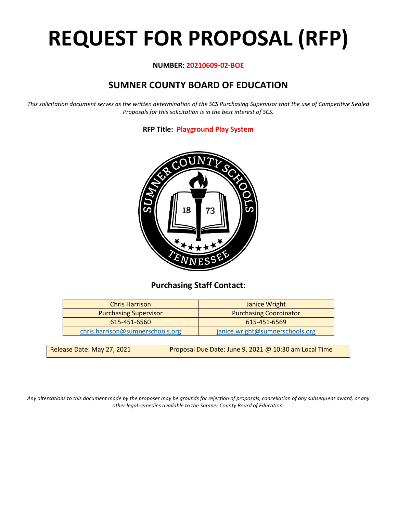# **REQUEST FOR PROPOSAL (RFP)**

#### **NUMBER: 20210609-02-BOE**

# **SUMNER COUNTY BOARD OF EDUCATION**

*This solicitation document serves as the written determination of the SCS Purchasing Supervisor that the use of Competitive Sealed Proposals for this solicitation is in the best interest of SCS.*

**RFP Title: Playground Play System**



## **Purchasing Staff Contact:**

| <b>Chris Harrison</b>            | Janice Wright                   |
|----------------------------------|---------------------------------|
| <b>Purchasing Supervisor</b>     | <b>Purchasing Coordinator</b>   |
| 615-451-6560                     | 615-451-6569                    |
| chris.harrison@sumnerschools.org | janice.wright@sumnerschools.org |
|                                  |                                 |

| Release Date: May 27, 2021 | Proposal Due Date: June 9, 2021 @ 10:30 am Local Time |
|----------------------------|-------------------------------------------------------|
|                            |                                                       |

*Any altercations to this document made by the proposer may be grounds for rejection of proposals, cancellation of any subsequent award, or any other legal remedies available to the Sumner County Board of Education.*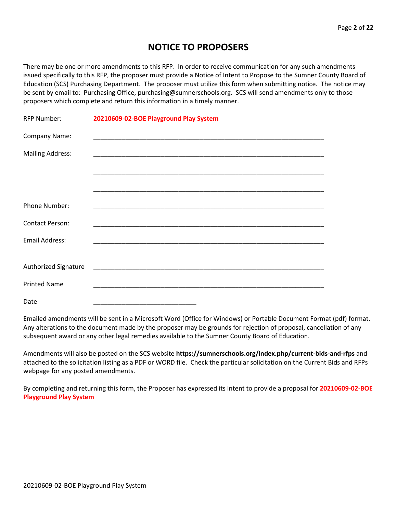## **NOTICE TO PROPOSERS**

There may be one or more amendments to this RFP. In order to receive communication for any such amendments issued specifically to this RFP, the proposer must provide a Notice of Intent to Propose to the Sumner County Board of Education (SCS) Purchasing Department. The proposer must utilize this form when submitting notice. The notice may be sent by email to: Purchasing Office, purchasing@sumnerschools.org. SCS will send amendments only to those proposers which complete and return this information in a timely manner.

| <b>RFP Number:</b>      | 20210609-02-BOE Playground Play System |  |
|-------------------------|----------------------------------------|--|
| Company Name:           |                                        |  |
| <b>Mailing Address:</b> |                                        |  |
|                         |                                        |  |
|                         |                                        |  |
| <b>Phone Number:</b>    |                                        |  |
| <b>Contact Person:</b>  |                                        |  |
| Email Address:          |                                        |  |
|                         |                                        |  |
| Authorized Signature    |                                        |  |
| <b>Printed Name</b>     |                                        |  |
| Date                    |                                        |  |

Emailed amendments will be sent in a Microsoft Word (Office for Windows) or Portable Document Format (pdf) format. Any alterations to the document made by the proposer may be grounds for rejection of proposal, cancellation of any subsequent award or any other legal remedies available to the Sumner County Board of Education.

Amendments will also be posted on the SCS website **https://sumnerschools.org/index.php/current-bids-and-rfps** and attached to the solicitation listing as a PDF or WORD file. Check the particular solicitation on the Current Bids and RFPs webpage for any posted amendments.

By completing and returning this form, the Proposer has expressed its intent to provide a proposal for **20210609-02-BOE Playground Play System**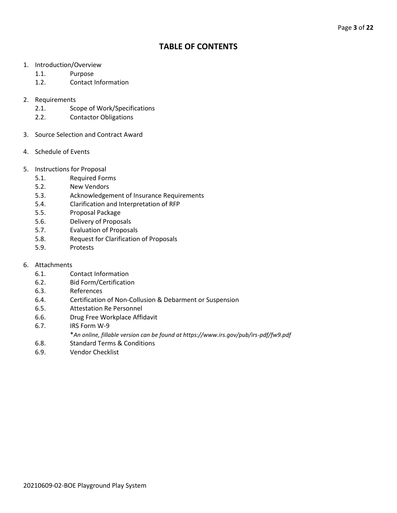## **TABLE OF CONTENTS**

- 1. Introduction/Overview
	- 1.1. Purpose
	- 1.2. Contact Information
- 2. Requirements
	- 2.1. Scope of Work/Specifications
	- 2.2. Contactor Obligations
- 3. Source Selection and Contract Award
- 4. Schedule of Events
- 5. Instructions for Proposal
	- 5.1. Required Forms
	- 5.2. New Vendors
	- 5.3. Acknowledgement of Insurance Requirements
	- 5.4. Clarification and Interpretation of RFP
	- 5.5. Proposal Package
	- 5.6. Delivery of Proposals
	- 5.7. Evaluation of Proposals
	- 5.8. Request for Clarification of Proposals
	- 5.9. Protests
- 6. Attachments
	- 6.1. Contact Information
	- 6.2. Bid Form/Certification
	- 6.3. References
	- 6.4. Certification of Non-Collusion & Debarment or Suspension
	- 6.5. Attestation Re Personnel
	- 6.6. Drug Free Workplace Affidavit
	- 6.7. IRS Form W-9
		- \**An online, fillable version can be found at https://www.irs.gov/pub/irs-pdf/fw9.pdf*
	- 6.8. Standard Terms & Conditions
	- 6.9. Vendor Checklist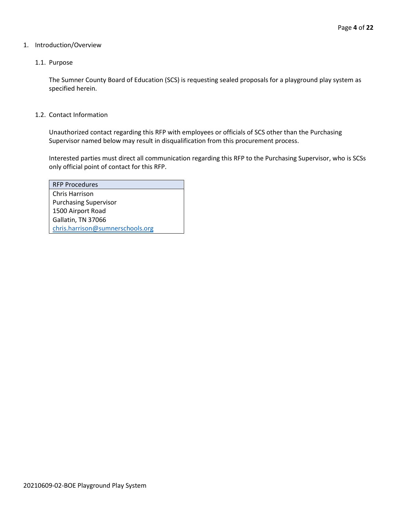#### 1. Introduction/Overview

#### 1.1. Purpose

The Sumner County Board of Education (SCS) is requesting sealed proposals for a playground play system as specified herein.

#### 1.2. Contact Information

Unauthorized contact regarding this RFP with employees or officials of SCS other than the Purchasing Supervisor named below may result in disqualification from this procurement process.

Interested parties must direct all communication regarding this RFP to the Purchasing Supervisor, who is SCSs only official point of contact for this RFP.

| <b>RFP Procedures</b>            |
|----------------------------------|
| Chris Harrison                   |
| <b>Purchasing Supervisor</b>     |
| 1500 Airport Road                |
| Gallatin, TN 37066               |
| chris.harrison@sumnerschools.org |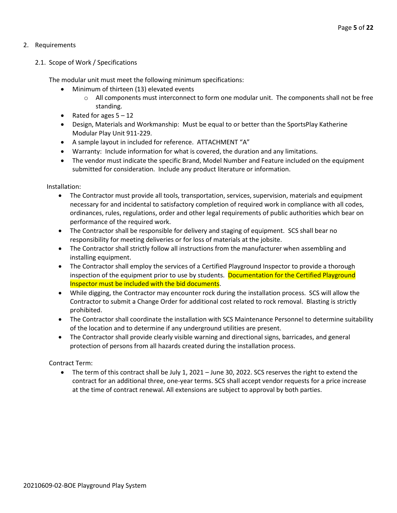#### 2. Requirements

#### 2.1. Scope of Work / Specifications

The modular unit must meet the following minimum specifications:

- Minimum of thirteen (13) elevated events
	- $\circ$  All components must interconnect to form one modular unit. The components shall not be free standing.
- Rated for ages  $5 12$
- Design, Materials and Workmanship: Must be equal to or better than the SportsPlay Katherine Modular Play Unit 911-229.
- A sample layout in included for reference. ATTACHMENT "A"
- Warranty: Include information for what is covered, the duration and any limitations.
- The vendor must indicate the specific Brand, Model Number and Feature included on the equipment submitted for consideration. Include any product literature or information.

Installation:

- The Contractor must provide all tools, transportation, services, supervision, materials and equipment necessary for and incidental to satisfactory completion of required work in compliance with all codes, ordinances, rules, regulations, order and other legal requirements of public authorities which bear on performance of the required work.
- The Contractor shall be responsible for delivery and staging of equipment. SCS shall bear no responsibility for meeting deliveries or for loss of materials at the jobsite.
- The Contractor shall strictly follow all instructions from the manufacturer when assembling and installing equipment.
- The Contractor shall employ the services of a Certified Playground Inspector to provide a thorough inspection of the equipment prior to use by students. Documentation for the Certified Playground Inspector must be included with the bid documents.
- While digging, the Contractor may encounter rock during the installation process. SCS will allow the Contractor to submit a Change Order for additional cost related to rock removal. Blasting is strictly prohibited.
- The Contractor shall coordinate the installation with SCS Maintenance Personnel to determine suitability of the location and to determine if any underground utilities are present.
- The Contractor shall provide clearly visible warning and directional signs, barricades, and general protection of persons from all hazards created during the installation process.

Contract Term:

• The term of this contract shall be July 1, 2021 – June 30, 2022. SCS reserves the right to extend the contract for an additional three, one-year terms. SCS shall accept vendor requests for a price increase at the time of contract renewal. All extensions are subject to approval by both parties.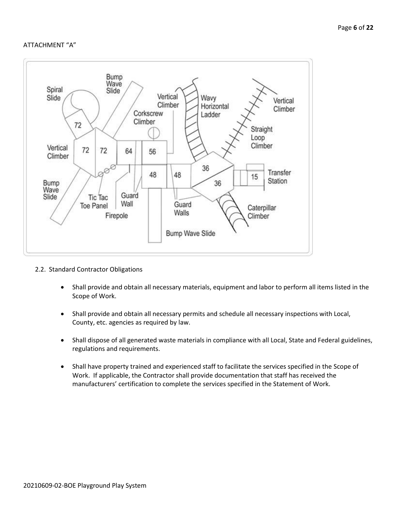#### ATTACHMENT "A"



- 2.2. Standard Contractor Obligations
	- Shall provide and obtain all necessary materials, equipment and labor to perform all items listed in the Scope of Work.
	- Shall provide and obtain all necessary permits and schedule all necessary inspections with Local, County, etc. agencies as required by law.
	- Shall dispose of all generated waste materials in compliance with all Local, State and Federal guidelines, regulations and requirements.
	- Shall have property trained and experienced staff to facilitate the services specified in the Scope of Work. If applicable, the Contractor shall provide documentation that staff has received the manufacturers' certification to complete the services specified in the Statement of Work.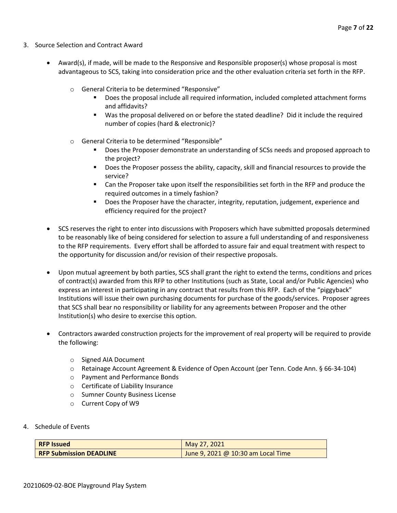- 3. Source Selection and Contract Award
	- Award(s), if made, will be made to the Responsive and Responsible proposer(s) whose proposal is most advantageous to SCS, taking into consideration price and the other evaluation criteria set forth in the RFP.
		- o General Criteria to be determined "Responsive"
			- Does the proposal include all required information, included completed attachment forms and affidavits?
			- Was the proposal delivered on or before the stated deadline? Did it include the required number of copies (hard & electronic)?
		- o General Criteria to be determined "Responsible"
			- Does the Proposer demonstrate an understanding of SCSs needs and proposed approach to the project?
			- Does the Proposer possess the ability, capacity, skill and financial resources to provide the service?
			- Can the Proposer take upon itself the responsibilities set forth in the RFP and produce the required outcomes in a timely fashion?
			- **■** Does the Proposer have the character, integrity, reputation, judgement, experience and efficiency required for the project?
	- SCS reserves the right to enter into discussions with Proposers which have submitted proposals determined to be reasonably like of being considered for selection to assure a full understanding of and responsiveness to the RFP requirements. Every effort shall be afforded to assure fair and equal treatment with respect to the opportunity for discussion and/or revision of their respective proposals.
	- Upon mutual agreement by both parties, SCS shall grant the right to extend the terms, conditions and prices of contract(s) awarded from this RFP to other Institutions (such as State, Local and/or Public Agencies) who express an interest in participating in any contract that results from this RFP. Each of the "piggyback" Institutions will issue their own purchasing documents for purchase of the goods/services. Proposer agrees that SCS shall bear no responsibility or liability for any agreements between Proposer and the other Institution(s) who desire to exercise this option.
	- Contractors awarded construction projects for the improvement of real property will be required to provide the following:
		- o Signed AIA Document
		- o Retainage Account Agreement & Evidence of Open Account (per Tenn. Code Ann. § 66-34-104)
		- o Payment and Performance Bonds
		- o Certificate of Liability Insurance
		- o Sumner County Business License
		- o Current Copy of W9
- 4. Schedule of Events

| <b>RFP Issued</b>              | May 27, 2021                       |
|--------------------------------|------------------------------------|
| <b>RFP Submission DEADLINE</b> | June 9, 2021 @ 10:30 am Local Time |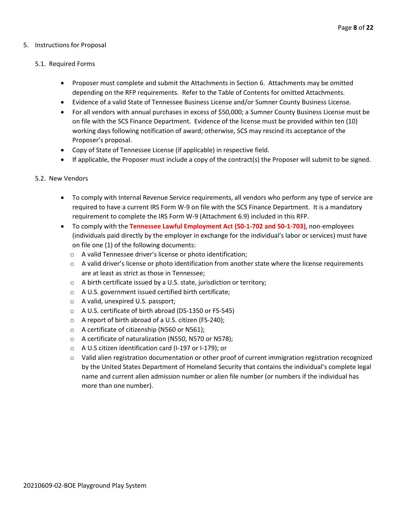#### 5. Instructions for Proposal

#### 5.1. Required Forms

- Proposer must complete and submit the Attachments in Section 6. Attachments may be omitted depending on the RFP requirements. Refer to the Table of Contents for omitted Attachments.
- Evidence of a valid State of Tennessee Business License and/or Sumner County Business License.
- For all vendors with annual purchases in excess of \$50,000; a Sumner County Business License must be on file with the SCS Finance Department. Evidence of the license must be provided within ten (10) working days following notification of award; otherwise, SCS may rescind its acceptance of the Proposer's proposal.
- Copy of State of Tennessee License (if applicable) in respective field.
- If applicable, the Proposer must include a copy of the contract(s) the Proposer will submit to be signed.

#### 5.2. New Vendors

- To comply with Internal Revenue Service requirements, all vendors who perform any type of service are required to have a current IRS Form W-9 on file with the SCS Finance Department. It is a mandatory requirement to complete the IRS Form W-9 (Attachment 6.9) included in this RFP.
- To comply with the **Tennessee Lawful Employment Act (50-1-702 and 50-1-703)**, non-employees (individuals paid directly by the employer in exchange for the individual's labor or services) must have on file one (1) of the following documents:
	- o A valid Tennessee driver's license or photo identification;
	- $\circ$  A valid driver's license or photo identification from another state where the license requirements are at least as strict as those in Tennessee;
	- o A birth certificate issued by a U.S. state, jurisdiction or territory;
	- o A U.S. government issued certified birth certificate;
	- o A valid, unexpired U.S. passport;
	- o A U.S. certificate of birth abroad (DS-1350 or FS-545)
	- o A report of birth abroad of a U.S. citizen (FS-240);
	- o A certificate of citizenship (N560 or N561);
	- o A certificate of naturalization (N550, N570 or N578);
	- o A U.S citizen identification card (I-197 or I-179); or
	- $\circ$  Valid alien registration documentation or other proof of current immigration registration recognized by the United States Department of Homeland Security that contains the individual's complete legal name and current alien admission number or alien file number (or numbers if the individual has more than one number).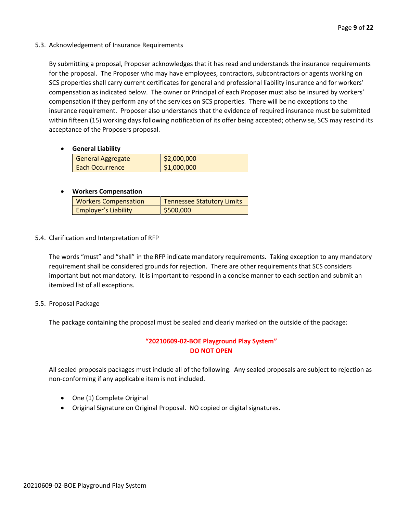#### 5.3. Acknowledgement of Insurance Requirements

By submitting a proposal, Proposer acknowledges that it has read and understands the insurance requirements for the proposal. The Proposer who may have employees, contractors, subcontractors or agents working on SCS properties shall carry current certificates for general and professional liability insurance and for workers' compensation as indicated below. The owner or Principal of each Proposer must also be insured by workers' compensation if they perform any of the services on SCS properties. There will be no exceptions to the insurance requirement. Proposer also understands that the evidence of required insurance must be submitted within fifteen (15) working days following notification of its offer being accepted; otherwise, SCS may rescind its acceptance of the Proposers proposal.

#### • **General Liability**

| <b>General Aggregate</b> | \$2,000,000 |
|--------------------------|-------------|
| Each Occurrence          | \$1,000,000 |

#### • **Workers Compensation**

| <b>Workers Compensation</b> | <b>Tennessee Statutory Limits</b> |
|-----------------------------|-----------------------------------|
| <b>Employer's Liability</b> | \$500,000                         |

#### 5.4. Clarification and Interpretation of RFP

The words "must" and "shall" in the RFP indicate mandatory requirements. Taking exception to any mandatory requirement shall be considered grounds for rejection. There are other requirements that SCS considers important but not mandatory. It is important to respond in a concise manner to each section and submit an itemized list of all exceptions.

#### 5.5. Proposal Package

The package containing the proposal must be sealed and clearly marked on the outside of the package:

#### **"20210609-02-BOE Playground Play System" DO NOT OPEN**

All sealed proposals packages must include all of the following. Any sealed proposals are subject to rejection as non-conforming if any applicable item is not included.

- One (1) Complete Original
- Original Signature on Original Proposal. NO copied or digital signatures.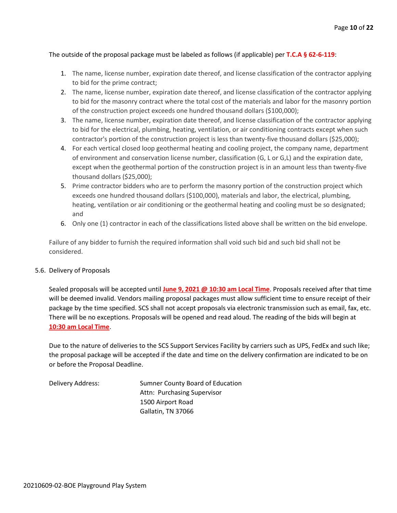#### The outside of the proposal package must be labeled as follows (if applicable) per **T.C.A § 62-6-119**:

- 1. The name, license number, expiration date thereof, and license classification of the contractor applying to bid for the prime contract;
- 2. The name, license number, expiration date thereof, and license classification of the contractor applying to bid for the masonry contract where the total cost of the materials and labor for the masonry portion of the construction project exceeds one hundred thousand dollars (\$100,000);
- 3. The name, license number, expiration date thereof, and license classification of the contractor applying to bid for the electrical, plumbing, heating, ventilation, or air conditioning contracts except when such contractor's portion of the construction project is less than twenty-five thousand dollars (\$25,000);
- 4. For each vertical closed loop geothermal heating and cooling project, the company name, department of environment and conservation license number, classification (G, L or G,L) and the expiration date, except when the geothermal portion of the construction project is in an amount less than twenty-five thousand dollars (\$25,000);
- 5. Prime contractor bidders who are to perform the masonry portion of the construction project which exceeds one hundred thousand dollars (\$100,000), materials and labor, the electrical, plumbing, heating, ventilation or air conditioning or the geothermal heating and cooling must be so designated; and
- 6. Only one (1) contractor in each of the classifications listed above shall be written on the bid envelope.

Failure of any bidder to furnish the required information shall void such bid and such bid shall not be considered.

#### 5.6. Delivery of Proposals

Sealed proposals will be accepted until **June 9, 2021 @ 10:30 am Local Time**. Proposals received after that time will be deemed invalid. Vendors mailing proposal packages must allow sufficient time to ensure receipt of their package by the time specified. SCS shall not accept proposals via electronic transmission such as email, fax, etc. There will be no exceptions. Proposals will be opened and read aloud. The reading of the bids will begin at **10:30 am Local Time**.

Due to the nature of deliveries to the SCS Support Services Facility by carriers such as UPS, FedEx and such like; the proposal package will be accepted if the date and time on the delivery confirmation are indicated to be on or before the Proposal Deadline.

Delivery Address: Sumner County Board of Education Attn: Purchasing Supervisor 1500 Airport Road Gallatin, TN 37066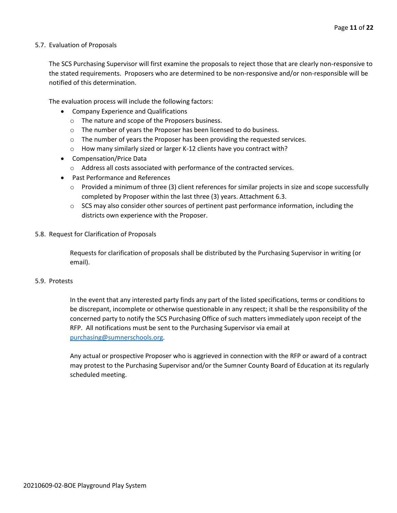#### 5.7. Evaluation of Proposals

The SCS Purchasing Supervisor will first examine the proposals to reject those that are clearly non-responsive to the stated requirements. Proposers who are determined to be non-responsive and/or non-responsible will be notified of this determination.

The evaluation process will include the following factors:

- Company Experience and Qualifications
	- o The nature and scope of the Proposers business.
	- $\circ$  The number of years the Proposer has been licensed to do business.
	- $\circ$  The number of years the Proposer has been providing the requested services.
	- o How many similarly sized or larger K-12 clients have you contract with?
- Compensation/Price Data
	- o Address all costs associated with performance of the contracted services.
- Past Performance and References
	- $\circ$  Provided a minimum of three (3) client references for similar projects in size and scope successfully completed by Proposer within the last three (3) years. Attachment 6.3.
	- $\circ$  SCS may also consider other sources of pertinent past performance information, including the districts own experience with the Proposer.
- 5.8. Request for Clarification of Proposals

Requests for clarification of proposals shall be distributed by the Purchasing Supervisor in writing (or email).

#### 5.9. Protests

In the event that any interested party finds any part of the listed specifications, terms or conditions to be discrepant, incomplete or otherwise questionable in any respect; it shall be the responsibility of the concerned party to notify the SCS Purchasing Office of such matters immediately upon receipt of the RFP. All notifications must be sent to the Purchasing Supervisor via email at [purchasing@sumnerschools.org.](mailto:purchasing@sumnerschools.org)

Any actual or prospective Proposer who is aggrieved in connection with the RFP or award of a contract may protest to the Purchasing Supervisor and/or the Sumner County Board of Education at its regularly scheduled meeting.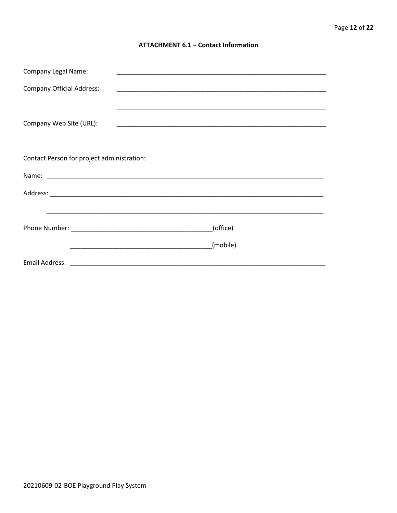#### **ATTACHMENT 6.1 - Contact Information**

| <b>Company Legal Name:</b>                 |          |  |
|--------------------------------------------|----------|--|
| <b>Company Official Address:</b>           |          |  |
|                                            |          |  |
| Company Web Site (URL):                    |          |  |
|                                            |          |  |
|                                            |          |  |
| Contact Person for project administration: |          |  |
|                                            |          |  |
|                                            |          |  |
|                                            |          |  |
|                                            | (office) |  |
|                                            |          |  |
|                                            | (mobile) |  |
|                                            |          |  |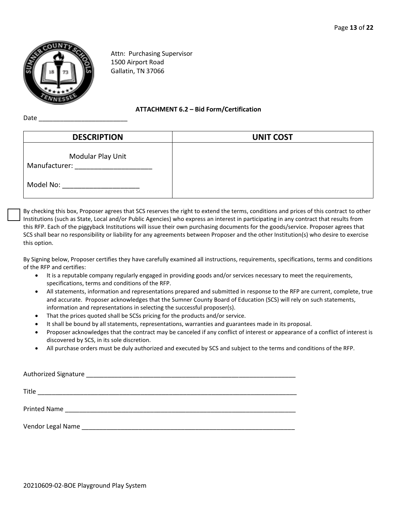

Attn: Purchasing Supervisor 1500 Airport Road Gallatin, TN 37066

**ATTACHMENT 6.2 – Bid Form/Certification**

Date

| <b>DESCRIPTION</b>                 | <b>UNIT COST</b> |
|------------------------------------|------------------|
| Modular Play Unit<br>Manufacturer: |                  |
| Model No:                          |                  |

By checking this box, Proposer agrees that SCS reserves the right to extend the terms, conditions and prices of this contract to other Institutions (such as State, Local and/or Public Agencies) who express an interest in participating in any contract that results from this RFP. Each of the piggyback Institutions will issue their own purchasing documents for the goods/service. Proposer agrees that SCS shall bear no responsibility or liability for any agreements between Proposer and the other Institution(s) who desire to exercise this option.

By Signing below, Proposer certifies they have carefully examined all instructions, requirements, specifications, terms and conditions of the RFP and certifies:

- It is a reputable company regularly engaged in providing goods and/or services necessary to meet the requirements, specifications, terms and conditions of the RFP.
- All statements, information and representations prepared and submitted in response to the RFP are current, complete, true and accurate. Proposer acknowledges that the Sumner County Board of Education (SCS) will rely on such statements, information and representations in selecting the successful proposer(s).
- That the prices quoted shall be SCSs pricing for the products and/or service.
- It shall be bound by all statements, representations, warranties and guarantees made in its proposal.
- Proposer acknowledges that the contract may be canceled if any conflict of interest or appearance of a conflict of interest is discovered by SCS, in its sole discretion.
- All purchase orders must be duly authorized and executed by SCS and subject to the terms and conditions of the RFP.

| Title        |
|--------------|
| Printed Name |
|              |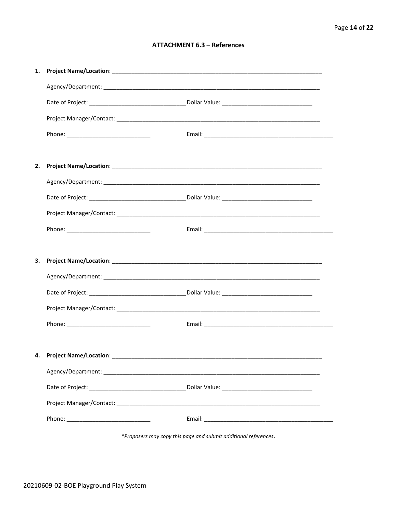#### **ATTACHMENT 6.3 - References**

| 1. |                           |  |
|----|---------------------------|--|
|    |                           |  |
|    |                           |  |
|    |                           |  |
|    |                           |  |
|    |                           |  |
| 2. |                           |  |
|    |                           |  |
|    |                           |  |
|    |                           |  |
|    |                           |  |
|    |                           |  |
| 3. |                           |  |
|    |                           |  |
|    |                           |  |
|    |                           |  |
|    |                           |  |
|    |                           |  |
|    | 4. Project Name/Location: |  |
|    |                           |  |
|    |                           |  |
|    |                           |  |
|    |                           |  |
|    |                           |  |
|    |                           |  |

\*Proposers may copy this page and submit additional references.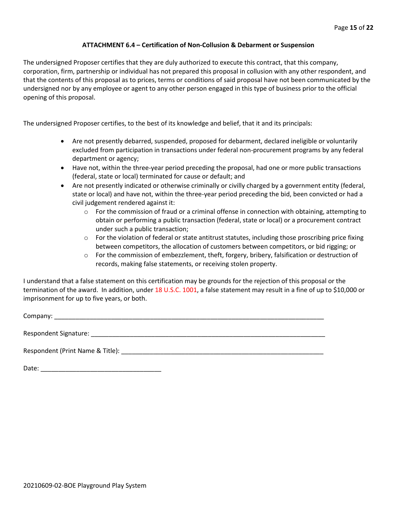#### **ATTACHMENT 6.4 – Certification of Non-Collusion & Debarment or Suspension**

The undersigned Proposer certifies that they are duly authorized to execute this contract, that this company, corporation, firm, partnership or individual has not prepared this proposal in collusion with any other respondent, and that the contents of this proposal as to prices, terms or conditions of said proposal have not been communicated by the undersigned nor by any employee or agent to any other person engaged in this type of business prior to the official opening of this proposal.

The undersigned Proposer certifies, to the best of its knowledge and belief, that it and its principals:

- Are not presently debarred, suspended, proposed for debarment, declared ineligible or voluntarily excluded from participation in transactions under federal non-procurement programs by any federal department or agency;
- Have not, within the three-year period preceding the proposal, had one or more public transactions (federal, state or local) terminated for cause or default; and
- Are not presently indicated or otherwise criminally or civilly charged by a government entity (federal, state or local) and have not, within the three-year period preceding the bid, been convicted or had a civil judgement rendered against it:
	- $\circ$  For the commission of fraud or a criminal offense in connection with obtaining, attempting to obtain or performing a public transaction (federal, state or local) or a procurement contract under such a public transaction;
	- $\circ$  For the violation of federal or state antitrust statutes, including those proscribing price fixing between competitors, the allocation of customers between competitors, or bid rigging; or
	- o For the commission of embezzlement, theft, forgery, bribery, falsification or destruction of records, making false statements, or receiving stolen property.

I understand that a false statement on this certification may be grounds for the rejection of this proposal or the termination of the award. In addition, under 18 U.S.C. 1001, a false statement may result in a fine of up to \$10,000 or imprisonment for up to five years, or both.

Company: \_\_\_\_\_\_\_\_\_\_\_\_\_\_\_\_\_\_\_\_\_\_\_\_\_\_\_\_\_\_\_\_\_\_\_\_\_\_\_\_\_\_\_\_\_\_\_\_\_\_\_\_\_\_\_\_\_\_\_\_\_\_\_\_\_\_\_\_\_\_\_\_\_\_\_\_

Respondent Signature: \_\_\_\_\_\_\_\_\_\_\_\_\_\_\_\_\_\_\_\_\_\_\_\_\_\_\_\_\_\_\_\_\_\_\_\_\_\_\_\_\_\_\_\_\_\_\_\_\_\_\_\_\_\_\_\_\_\_\_\_\_\_\_\_\_\_

Respondent (Print Name & Title): \_\_\_\_\_\_\_\_\_\_\_\_\_\_\_\_\_\_\_\_\_\_\_\_\_\_\_\_\_\_\_\_\_\_\_\_\_\_\_\_\_\_\_\_\_\_\_\_\_\_\_\_\_\_\_\_\_

Date: \_\_\_\_\_\_\_\_\_\_\_\_\_\_\_\_\_\_\_\_\_\_\_\_\_\_\_\_\_\_\_\_\_\_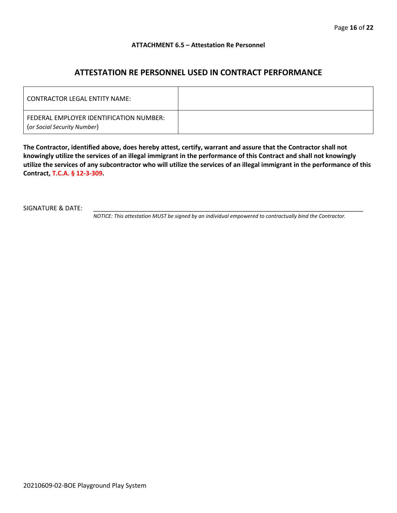#### **ATTACHMENT 6.5 – Attestation Re Personnel**

### **ATTESTATION RE PERSONNEL USED IN CONTRACT PERFORMANCE**

| CONTRACTOR LEGAL ENTITY NAME:                                          |  |
|------------------------------------------------------------------------|--|
| FEDERAL EMPLOYER IDENTIFICATION NUMBER:<br>(or Social Security Number) |  |

**The Contractor, identified above, does hereby attest, certify, warrant and assure that the Contractor shall not knowingly utilize the services of an illegal immigrant in the performance of this Contract and shall not knowingly utilize the services of any subcontractor who will utilize the services of an illegal immigrant in the performance of this Contract, T.C.A. § 12-3-309.**

SIGNATURE & DATE:

*NOTICE: This attestation MUST be signed by an individual empowered to contractually bind the Contractor.*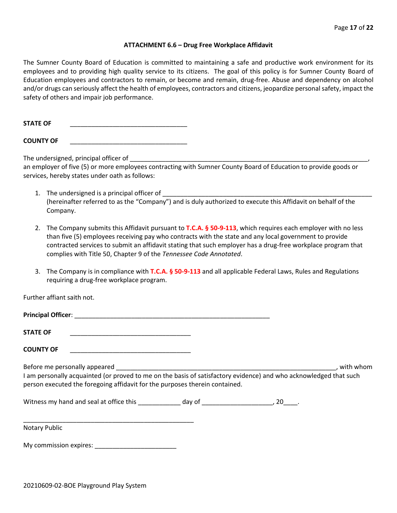#### **ATTACHMENT 6.6 – Drug Free Workplace Affidavit**

The Sumner County Board of Education is committed to maintaining a safe and productive work environment for its employees and to providing high quality service to its citizens. The goal of this policy is for Sumner County Board of Education employees and contractors to remain, or become and remain, drug-free. Abuse and dependency on alcohol and/or drugs can seriously affect the health of employees, contractors and citizens, jeopardize personal safety, impact the safety of others and impair job performance.

STATE OF

**COUNTY OF** \_\_\_\_\_\_\_\_\_\_\_\_\_\_\_\_\_\_\_\_\_\_\_\_\_\_\_\_\_\_\_\_\_

The undersigned, principal officer of

an employer of five (5) or more employees contracting with Sumner County Board of Education to provide goods or services, hereby states under oath as follows:

- 1. The undersigned is a principal officer of (hereinafter referred to as the "Company") and is duly authorized to execute this Affidavit on behalf of the Company.
- 2. The Company submits this Affidavit pursuant to **T.C.A. § 50-9-113**, which requires each employer with no less than five (5) employees receiving pay who contracts with the state and any local government to provide contracted services to submit an affidavit stating that such employer has a drug-free workplace program that complies with Title 50, Chapter 9 of the *Tennessee Code Annotated*.
- 3. The Company is in compliance with **T.C.A. § 50-9-113** and all applicable Federal Laws, Rules and Regulations requiring a drug-free workplace program.

Further affiant saith not.

| <b>Principal Officer:</b> |  |
|---------------------------|--|
|                           |  |
| <b>STATE OF</b>           |  |

**COUNTY OF** \_\_\_\_\_\_\_\_\_\_\_\_\_\_\_\_\_\_\_\_\_\_\_\_\_\_\_\_\_\_\_\_\_\_

Before me personally appeared \_\_\_\_\_\_\_\_\_\_\_\_\_\_\_\_\_\_\_\_\_\_\_\_\_\_\_\_\_\_\_\_\_\_\_\_\_\_\_\_\_\_\_\_\_\_\_\_\_\_\_\_\_\_\_\_\_\_\_\_\_\_, with whom I am personally acquainted (or proved to me on the basis of satisfactory evidence) and who acknowledged that such person executed the foregoing affidavit for the purposes therein contained.

Witness my hand and seal at office this \_\_\_\_\_\_\_\_\_\_\_\_\_ day of \_\_\_\_\_\_\_\_\_\_\_\_\_\_\_\_\_\_\_\_\_, 20\_\_\_\_.

\_\_\_\_\_\_\_\_\_\_\_\_\_\_\_\_\_\_\_\_\_\_\_\_\_\_\_\_\_\_\_\_\_\_\_\_\_\_\_\_\_\_\_\_\_\_\_\_ Notary Public

My commission expires: \_\_\_\_\_\_\_\_\_\_\_\_\_\_\_\_\_\_\_\_\_\_\_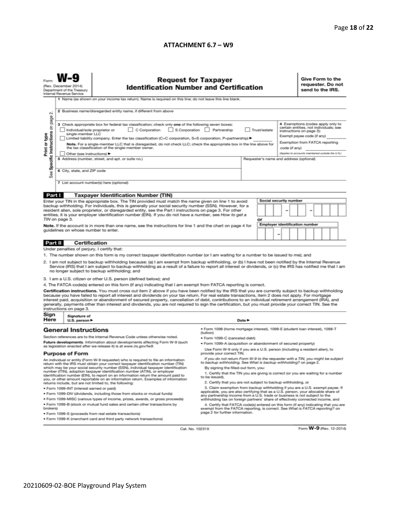#### **ATTACHMENT 6.7 – W9**

| N                                                                                                                                                                                                                                                                                                                                                                                                                                                                                                                                                                                                                                                        | <b>Request for Taxpayer</b><br>(Rev. December 2014)<br><b>Identification Number and Certification</b><br>Department of the Treasury<br>Internal Revenue Service<br>1 Name (as shown on your income tax return). Name is required on this line; do not leave this line blank.<br>2 Business name/disregarded entity name, if different from above                                                                                                                                                                                                                                                                                                                                   |                                                                                                                                                                  |                                                                                                                                                                                                               |  |  |  |                        |  | Give Form to the<br>requester. Do not<br>send to the IRS.                                                                                                                                                                                     |  |  |  |  |  |
|----------------------------------------------------------------------------------------------------------------------------------------------------------------------------------------------------------------------------------------------------------------------------------------------------------------------------------------------------------------------------------------------------------------------------------------------------------------------------------------------------------------------------------------------------------------------------------------------------------------------------------------------------------|------------------------------------------------------------------------------------------------------------------------------------------------------------------------------------------------------------------------------------------------------------------------------------------------------------------------------------------------------------------------------------------------------------------------------------------------------------------------------------------------------------------------------------------------------------------------------------------------------------------------------------------------------------------------------------|------------------------------------------------------------------------------------------------------------------------------------------------------------------|---------------------------------------------------------------------------------------------------------------------------------------------------------------------------------------------------------------|--|--|--|------------------------|--|-----------------------------------------------------------------------------------------------------------------------------------------------------------------------------------------------------------------------------------------------|--|--|--|--|--|
| Specific Instructions on page<br>Print or type<br>See                                                                                                                                                                                                                                                                                                                                                                                                                                                                                                                                                                                                    | 3 Check appropriate box for federal tax classification; check only one of the following seven boxes:<br>C Corporation<br>S Corporation Partnership<br>Trust/estate<br>Individual/sole proprietor or<br>single-member LLC<br>Limited liability company. Enter the tax classification (C=C corporation, S=S corporation, P=partnership) ▶<br>Note. For a single-member LLC that is disregarded, do not check LLC; check the appropriate box in the line above for<br>the tax classification of the single-member owner.<br>Other (see instructions) ▶<br>5 Address (number, street, and apt. or suite no.)<br>Requester's name and address (optional)<br>6 City, state, and ZIP code |                                                                                                                                                                  |                                                                                                                                                                                                               |  |  |  |                        |  | 4 Exemptions (codes apply only to<br>certain entities, not individuals; see<br>instructions on page 3):<br>Exempt payee code (if any)<br>Exemption from FATCA reporting<br>code (if any)<br>(Applies to accounts maintained outside the U.S.) |  |  |  |  |  |
|                                                                                                                                                                                                                                                                                                                                                                                                                                                                                                                                                                                                                                                          |                                                                                                                                                                                                                                                                                                                                                                                                                                                                                                                                                                                                                                                                                    | 7 List account number(s) here (optional)                                                                                                                         |                                                                                                                                                                                                               |  |  |  |                        |  |                                                                                                                                                                                                                                               |  |  |  |  |  |
| Part I                                                                                                                                                                                                                                                                                                                                                                                                                                                                                                                                                                                                                                                   |                                                                                                                                                                                                                                                                                                                                                                                                                                                                                                                                                                                                                                                                                    | <b>Taxpayer Identification Number (TIN)</b>                                                                                                                      |                                                                                                                                                                                                               |  |  |  |                        |  |                                                                                                                                                                                                                                               |  |  |  |  |  |
|                                                                                                                                                                                                                                                                                                                                                                                                                                                                                                                                                                                                                                                          |                                                                                                                                                                                                                                                                                                                                                                                                                                                                                                                                                                                                                                                                                    | Enter your TIN in the appropriate box. The TIN provided must match the name given on line 1 to avoid                                                             |                                                                                                                                                                                                               |  |  |  | Social security number |  |                                                                                                                                                                                                                                               |  |  |  |  |  |
| backup withholding. For individuals, this is generally your social security number (SSN). However, for a<br>resident alien, sole proprietor, or disregarded entity, see the Part I instructions on page 3. For other<br>entities, it is your employer identification number (EIN). If you do not have a number, see How to get a<br>TIN on page 3.                                                                                                                                                                                                                                                                                                       |                                                                                                                                                                                                                                                                                                                                                                                                                                                                                                                                                                                                                                                                                    |                                                                                                                                                                  | or                                                                                                                                                                                                            |  |  |  |                        |  |                                                                                                                                                                                                                                               |  |  |  |  |  |
| Note. If the account is in more than one name, see the instructions for line 1 and the chart on page 4 for<br>guidelines on whose number to enter.                                                                                                                                                                                                                                                                                                                                                                                                                                                                                                       |                                                                                                                                                                                                                                                                                                                                                                                                                                                                                                                                                                                                                                                                                    |                                                                                                                                                                  | Employer identification number<br>-                                                                                                                                                                           |  |  |  |                        |  |                                                                                                                                                                                                                                               |  |  |  |  |  |
| Part II                                                                                                                                                                                                                                                                                                                                                                                                                                                                                                                                                                                                                                                  | <b>Certification</b>                                                                                                                                                                                                                                                                                                                                                                                                                                                                                                                                                                                                                                                               |                                                                                                                                                                  |                                                                                                                                                                                                               |  |  |  |                        |  |                                                                                                                                                                                                                                               |  |  |  |  |  |
| Under penalties of perjury, I certify that:                                                                                                                                                                                                                                                                                                                                                                                                                                                                                                                                                                                                              |                                                                                                                                                                                                                                                                                                                                                                                                                                                                                                                                                                                                                                                                                    |                                                                                                                                                                  |                                                                                                                                                                                                               |  |  |  |                        |  |                                                                                                                                                                                                                                               |  |  |  |  |  |
| 1. The number shown on this form is my correct taxpayer identification number (or I am waiting for a number to be issued to me); and<br>2. I am not subject to backup withholding because: (a) I am exempt from backup withholding, or (b) I have not been notified by the Internal Revenue<br>Service (IRS) that I am subject to backup withholding as a result of a failure to report all interest or dividends, or (c) the IRS has notified me that I am<br>no longer subject to backup withholding; and                                                                                                                                              |                                                                                                                                                                                                                                                                                                                                                                                                                                                                                                                                                                                                                                                                                    |                                                                                                                                                                  |                                                                                                                                                                                                               |  |  |  |                        |  |                                                                                                                                                                                                                                               |  |  |  |  |  |
|                                                                                                                                                                                                                                                                                                                                                                                                                                                                                                                                                                                                                                                          |                                                                                                                                                                                                                                                                                                                                                                                                                                                                                                                                                                                                                                                                                    | 3. I am a U.S. citizen or other U.S. person (defined below); and                                                                                                 |                                                                                                                                                                                                               |  |  |  |                        |  |                                                                                                                                                                                                                                               |  |  |  |  |  |
|                                                                                                                                                                                                                                                                                                                                                                                                                                                                                                                                                                                                                                                          |                                                                                                                                                                                                                                                                                                                                                                                                                                                                                                                                                                                                                                                                                    | 4. The FATCA code(s) entered on this form (if any) indicating that I am exempt from FATCA reporting is correct.                                                  |                                                                                                                                                                                                               |  |  |  |                        |  |                                                                                                                                                                                                                                               |  |  |  |  |  |
| Certification instructions. You must cross out item 2 above if you have been notified by the IRS that you are currently subject to backup withholding<br>because you have failed to report all interest and dividends on your tax return. For real estate transactions, item 2 does not apply. For mortgage<br>interest paid, acquisition or abandonment of secured property, cancellation of debt, contributions to an individual retirement arrangement (IRA), and<br>generally, payments other than interest and dividends, you are not required to sign the certification, but you must provide your correct TIN. See the<br>instructions on page 3. |                                                                                                                                                                                                                                                                                                                                                                                                                                                                                                                                                                                                                                                                                    |                                                                                                                                                                  |                                                                                                                                                                                                               |  |  |  |                        |  |                                                                                                                                                                                                                                               |  |  |  |  |  |
| Sign<br>Here                                                                                                                                                                                                                                                                                                                                                                                                                                                                                                                                                                                                                                             | Signature of<br>U.S. person ▶                                                                                                                                                                                                                                                                                                                                                                                                                                                                                                                                                                                                                                                      | Date P                                                                                                                                                           |                                                                                                                                                                                                               |  |  |  |                        |  |                                                                                                                                                                                                                                               |  |  |  |  |  |
|                                                                                                                                                                                                                                                                                                                                                                                                                                                                                                                                                                                                                                                          | <b>General Instructions</b>                                                                                                                                                                                                                                                                                                                                                                                                                                                                                                                                                                                                                                                        |                                                                                                                                                                  | · Form 1098 (home mortgage interest), 1098-E (student Ioan interest), 1098-T                                                                                                                                  |  |  |  |                        |  |                                                                                                                                                                                                                                               |  |  |  |  |  |
| Section references are to the Internal Revenue Code unless otherwise noted.                                                                                                                                                                                                                                                                                                                                                                                                                                                                                                                                                                              |                                                                                                                                                                                                                                                                                                                                                                                                                                                                                                                                                                                                                                                                                    |                                                                                                                                                                  | (tuition)                                                                                                                                                                                                     |  |  |  |                        |  |                                                                                                                                                                                                                                               |  |  |  |  |  |
| Future developments. Information about developments affecting Form W-9 (such                                                                                                                                                                                                                                                                                                                                                                                                                                                                                                                                                                             |                                                                                                                                                                                                                                                                                                                                                                                                                                                                                                                                                                                                                                                                                    |                                                                                                                                                                  | • Form 1099-C (canceled debt)<br>. Form 1099-A (acquisition or abandonment of secured property)                                                                                                               |  |  |  |                        |  |                                                                                                                                                                                                                                               |  |  |  |  |  |
| as legislation enacted after we release it) is at www.irs.gov/fw9.<br><b>Purpose of Form</b>                                                                                                                                                                                                                                                                                                                                                                                                                                                                                                                                                             |                                                                                                                                                                                                                                                                                                                                                                                                                                                                                                                                                                                                                                                                                    |                                                                                                                                                                  | Use Form W-9 only if you are a U.S. person (including a resident alien), to<br>provide your correct TIN.                                                                                                      |  |  |  |                        |  |                                                                                                                                                                                                                                               |  |  |  |  |  |
| An individual or entity (Form W-9 requester) who is required to file an information<br>return with the IRS must obtain your correct taxpayer identification number (TIN)                                                                                                                                                                                                                                                                                                                                                                                                                                                                                 |                                                                                                                                                                                                                                                                                                                                                                                                                                                                                                                                                                                                                                                                                    |                                                                                                                                                                  | If you do not return Form W-9 to the requester with a TIN, you might be subject<br>to backup withholding. See What is backup withholding? on page 2.                                                          |  |  |  |                        |  |                                                                                                                                                                                                                                               |  |  |  |  |  |
| which may be your social security number (SSN), individual taxpayer identification<br>number (ITIN), adoption taxpayer identification number (ATIN), or employer<br>identification number (EIN), to report on an information return the amount paid to<br>you, or other amount reportable on an information return. Examples of information<br>returns include, but are not limited to, the following:                                                                                                                                                                                                                                                   |                                                                                                                                                                                                                                                                                                                                                                                                                                                                                                                                                                                                                                                                                    |                                                                                                                                                                  | By signing the filled-out form, you:<br>1. Certify that the TIN you are giving is correct (or you are waiting for a number<br>to be issued).<br>2. Certify that you are not subject to backup withholding, or |  |  |  |                        |  |                                                                                                                                                                                                                                               |  |  |  |  |  |
|                                                                                                                                                                                                                                                                                                                                                                                                                                                                                                                                                                                                                                                          | · Form 1099-INT (interest earned or paid)                                                                                                                                                                                                                                                                                                                                                                                                                                                                                                                                                                                                                                          | 3. Claim exemption from backup withholding if you are a U.S. exempt payee. If                                                                                    |                                                                                                                                                                                                               |  |  |  |                        |  |                                                                                                                                                                                                                                               |  |  |  |  |  |
|                                                                                                                                                                                                                                                                                                                                                                                                                                                                                                                                                                                                                                                          | . Form 1099-DIV (dividends, including those from stocks or mutual funds)                                                                                                                                                                                                                                                                                                                                                                                                                                                                                                                                                                                                           | applicable, you are also certifying that as a U.S. person, your allocable share of<br>any partnership income from a U.S. trade or business is not subject to the |                                                                                                                                                                                                               |  |  |  |                        |  |                                                                                                                                                                                                                                               |  |  |  |  |  |
|                                                                                                                                                                                                                                                                                                                                                                                                                                                                                                                                                                                                                                                          | . Form 1099-MISC (various types of income, prizes, awards, or gross proceeds)                                                                                                                                                                                                                                                                                                                                                                                                                                                                                                                                                                                                      | withholding tax on foreign partners' share of effectively connected income, and                                                                                  |                                                                                                                                                                                                               |  |  |  |                        |  |                                                                                                                                                                                                                                               |  |  |  |  |  |
| . Form 1099-B (stock or mutual fund sales and certain other transactions by<br>brokers)                                                                                                                                                                                                                                                                                                                                                                                                                                                                                                                                                                  |                                                                                                                                                                                                                                                                                                                                                                                                                                                                                                                                                                                                                                                                                    |                                                                                                                                                                  | 4. Certify that FATCA code(s) entered on this form (if any) indicating that you are<br>exempt from the FATCA reporting, is correct. See What is FATCA reporting? on                                           |  |  |  |                        |  |                                                                                                                                                                                                                                               |  |  |  |  |  |
| page 2 for further information.<br>· Form 1099-S (proceeds from real estate transactions)<br>. Form 1099-K (merchant card and third party network transactions)                                                                                                                                                                                                                                                                                                                                                                                                                                                                                          |                                                                                                                                                                                                                                                                                                                                                                                                                                                                                                                                                                                                                                                                                    |                                                                                                                                                                  |                                                                                                                                                                                                               |  |  |  |                        |  |                                                                                                                                                                                                                                               |  |  |  |  |  |
|                                                                                                                                                                                                                                                                                                                                                                                                                                                                                                                                                                                                                                                          |                                                                                                                                                                                                                                                                                                                                                                                                                                                                                                                                                                                                                                                                                    |                                                                                                                                                                  |                                                                                                                                                                                                               |  |  |  |                        |  |                                                                                                                                                                                                                                               |  |  |  |  |  |

Cat. No. 10231X

Form **W-9** (Rev. 12-2014)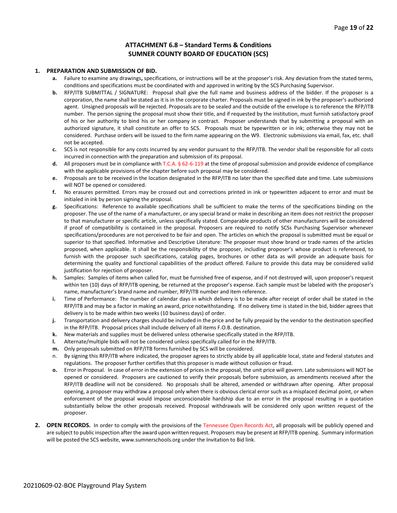#### **ATTACHMENT 6.8 – Standard Terms & Conditions SUMNER COUNTY BOARD OF EDUCATION (SCS)**

#### **1. PREPARATION AND SUBMISSION OF BID.**

- **a.** Failure to examine any drawings**,** specifications, or instructions will be at the proposer's risk. Any deviation from the stated terms, conditions and specifications must be coordinated with and approved in writing by the SCS Purchasing Supervisor.
- **b.** RFP/ITB SUBMITTAL / SIGNATURE: Proposal shall give the full name and business address of the bidder. If the proposer is a corporation, the name shall be stated as it is in the corporate charter. Proposals must be signed in ink by the proposer's authorized agent. Unsigned proposals will be rejected. Proposals are to be sealed and the outside of the envelope is to reference the RFP/ITB number. The person signing the proposal must show their title, and if requested by the institution, must furnish satisfactory proof of his or her authority to bind his or her company in contract. Proposer understands that by submitting a proposal with an authorized signature, it shall constitute an offer to SCS. Proposals must be typewritten or in ink; otherwise they may not be considered. Purchase orders will be issued to the firm name appearing on the W9. Electronic submissions via email, fax, etc. shall not be accepted.
- **c.** SCS is not responsible for any costs incurred by any vendor pursuant to the RFP/ITB. The vendor shall be responsible for all costs incurred in connection with the preparation and submission of its proposal.
- **d.** All proposers must be in compliance with T.C.A. § 62-6-119 at the time of proposal submission and provide evidence of compliance with the applicable provisions of the chapter before such proposal may be considered.
- **e.** Proposals are to be received in the location designated in the RFP/ITB no later than the specified date and time. Late submissions will NOT be opened or considered.
- **f.** No erasures permitted. Errors may be crossed out and corrections printed in ink or typewritten adjacent to error and must be initialed in ink by person signing the proposal.
- **g.** Specifications: Reference to available specifications shall be sufficient to make the terms of the specifications binding on the proposer. The use of the name of a manufacturer, or any special brand or make in describing an item does not restrict the proposer to that manufacturer or specific article, unless specifically stated. Comparable products of other manufacturers will be considered if proof of compatibility is contained in the proposal. Proposers are required to notify SCSs Purchasing Supervisor whenever specifications/procedures are not perceived to be fair and open. The articles on which the proposal is submitted must be equal or superior to that specified. Informative and Descriptive Literature: The proposer must show brand or trade names of the articles proposed, when applicable. It shall be the responsibility of the proposer, including proposer's whose product is referenced, to furnish with the proposer such specifications, catalog pages, brochures or other data as will provide an adequate basis for determining the quality and functional capabilities of the product offered. Failure to provide this data may be considered valid justification for rejection of proposer.
- **h.** Samples: Samples of items when called for, must be furnished free of expense, and if not destroyed will, upon proposer's request within ten (10) days of RFP/ITB opening, be returned at the proposer's expense. Each sample must be labeled with the proposer's name, manufacturer's brand name and number, RFP/ITB number and item reference.
- **i.** Time of Performance: The number of calendar days in which delivery is to be made after receipt of order shall be stated in the RFP/ITB and may be a factor in making an award, price notwithstanding. If no delivery time is stated in the bid, bidder agrees that delivery is to be made within two weeks (10 business days) of order.
- **j.** Transportation and delivery charges should be included in the price and be fully prepaid by the vendor to the destination specified in the RFP/ITB. Proposal prices shall include delivery of all items F.O.B. destination.
- **k.** New materials and supplies must be delivered unless otherwise specifically stated in the RFP/ITB.
- **l.** Alternate/multiple bids will not be considered unless specifically called for in the RFP/ITB.
- **m.** Only proposals submitted on RFP/ITB forms furnished by SCS will be considered.
- n. By signing this RFP/ITB where indicated, the proposer agrees to strictly abide by all applicable local, state and federal statutes and regulations. The proposer further certifies that this proposer is made without collusion or fraud.
- **o.** Error in Proposal. In case of error in the extension of prices in the proposal, the unit price will govern. Late submissions will NOT be opened or considered. Proposers are cautioned to verify their proposals before submission, as amendments received after the RFP/ITB deadline will not be considered. No proposals shall be altered, amended or withdrawn after opening. After proposal opening, a proposer may withdraw a proposal only when there is obvious clerical error such as a misplaced decimal point, or when enforcement of the proposal would impose unconscionable hardship due to an error in the proposal resulting in a quotation substantially below the other proposals received. Proposal withdrawals will be considered only upon written request of the proposer.
- **2. OPEN RECORDS.** In order to comply with the provisions of the Tennessee Open Records Act, all proposals will be publicly opened and are subject to public inspection after the award upon written request. Proposers may be present at RFP/ITB opening. Summary information will be posted the SCS website, www.sumnerschools.org under the Invitation to Bid link.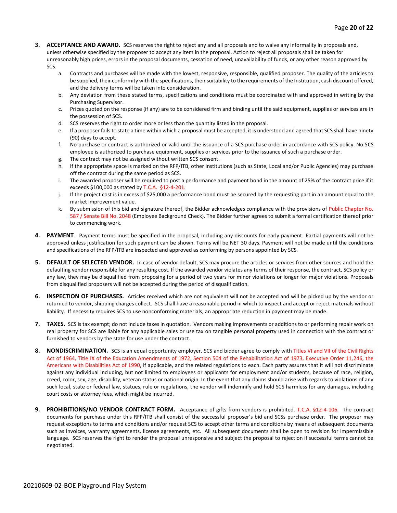- **3. ACCEPTANCE AND AWARD.** SCS reserves the right to reject any and all proposals and to waive any informality in proposals and, unless otherwise specified by the proposer to accept any item in the proposal. Action to reject all proposals shall be taken for unreasonably high prices, errors in the proposal documents, cessation of need, unavailability of funds, or any other reason approved by SCS.
	- a. Contracts and purchases will be made with the lowest, responsive, responsible, qualified proposer. The quality of the articles to be supplied, their conformity with the specifications, their suitability to the requirements of the Institution, cash discount offered, and the delivery terms will be taken into consideration.
	- b. Any deviation from these stated terms, specifications and conditions must be coordinated with and approved in writing by the Purchasing Supervisor.
	- c. Prices quoted on the response (if any) are to be considered firm and binding until the said equipment, supplies or services are in the possession of SCS.
	- d. SCS reserves the right to order more or less than the quantity listed in the proposal.
	- e. If a proposer fails to state a time within which a proposal must be accepted, it is understood and agreed that SCS shall have ninety (90) days to accept.
	- f. No purchase or contract is authorized or valid until the issuance of a SCS purchase order in accordance with SCS policy. No SCS employee is authorized to purchase equipment, supplies or services prior to the issuance of such a purchase order.
	- g. The contract may not be assigned without written SCS consent.
	- h. If the appropriate space is marked on the RFP/ITB, other Institutions (such as State, Local and/or Public Agencies) may purchase off the contract during the same period as SCS.
	- i. The awarded proposer will be required to post a performance and payment bond in the amount of 25% of the contract price if it exceeds \$100,000 as stated by T.C.A. §12-4-201.
	- j. If the project cost is in excess of \$25,000 a performance bond must be secured by the requesting part in an amount equal to the market improvement value.
	- k. By submission of this bid and signature thereof, the Bidder acknowledges compliance with the provisions of Public Chapter No. 587 / Senate Bill No. 2048 (Employee Background Check). The Bidder further agrees to submit a formal certification thereof prior to commencing work.
- **4. PAYMENT**. Payment terms must be specified in the proposal, including any discounts for early payment. Partial payments will not be approved unless justification for such payment can be shown. Terms will be NET 30 days. Payment will not be made until the conditions and specifications of the RFP/ITB are inspected and approved as conforming by persons appointed by SCS.
- **5. DEFAULT OF SELECTED VENDOR.** In case of vendor default, SCS may procure the articles or services from other sources and hold the defaulting vendor responsible for any resulting cost. If the awarded vendor violates any terms of their response, the contract, SCS policy or any law, they may be disqualified from proposing for a period of two years for minor violations or longer for major violations. Proposals from disqualified proposers will not be accepted during the period of disqualification.
- **6. INSPECTION OF PURCHASES.** Articles received which are not equivalent will not be accepted and will be picked up by the vendor or returned to vendor, shipping charges collect. SCS shall have a reasonable period in which to inspect and accept or reject materials without liability. If necessity requires SCS to use nonconforming materials, an appropriate reduction in payment may be made.
- **7. TAXES.** SCS is tax exempt; do not include taxes in quotation. Vendors making improvements or additions to or performing repair work on real property for SCS are liable for any applicable sales or use tax on tangible personal property used in connection with the contract or furnished to vendors by the state for use under the contract.
- **8. NONDISCRIMINATION.** SCS is an equal opportunity employer. SCS and bidder agree to comply with Titles VI and VII of the Civil Rights Act of 1964, Title IX of the Education Amendments of 1972, Section 504 of the Rehabilitation Act of 1973, Executive Order 11,246, the Americans with Disabilities Act of 1990, if applicable, and the related regulations to each. Each party assures that it will not discriminate against any individual including, but not limited to employees or applicants for employment and/or students, because of race, religion, creed, color, sex, age, disability, veteran status or national origin. In the event that any claims should arise with regards to violations of any such local, state or federal law, statues, rule or regulations, the vendor will indemnify and hold SCS harmless for any damages, including court costs or attorney fees, which might be incurred.
- **9. PROHIBITIONS/NO VENDOR CONTRACT FORM.** Acceptance of gifts from vendors is prohibited. T.C.A. §12-4-106. The contract documents for purchase under this RFP/ITB shall consist of the successful proposer's bid and SCSs purchase order. The proposer may request exceptions to terms and conditions and/or request SCS to accept other terms and conditions by means of subsequent documents such as invoices, warranty agreements, license agreements, etc. All subsequent documents shall be open to revision for impermissible language. SCS reserves the right to render the proposal unresponsive and subject the proposal to rejection if successful terms cannot be negotiated.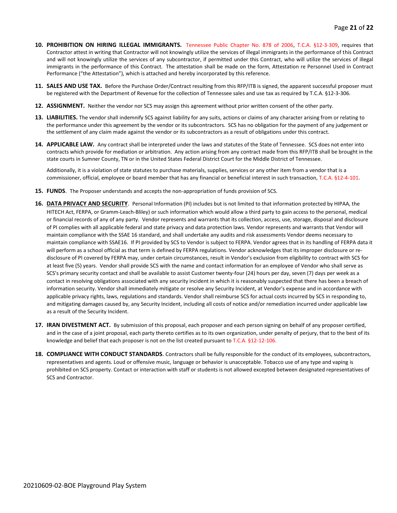- **10. PROHIBITION ON HIRING ILLEGAL IMMIGRANTS.** Tennessee Public Chapter No. 878 of 2006, T.C.A. §12-3-309, requires that Contractor attest in writing that Contractor will not knowingly utilize the services of illegal immigrants in the performance of this Contract and will not knowingly utilize the services of any subcontractor, if permitted under this Contract, who will utilize the services of illegal immigrants in the performance of this Contract. The attestation shall be made on the form, Attestation re Personnel Used in Contract Performance ("the Attestation"), which is attached and hereby incorporated by this reference.
- **11. SALES AND USE TAX.** Before the Purchase Order/Contract resulting from this RFP/ITB is signed, the apparent successful proposer must be registered with the Department of Revenue for the collection of Tennessee sales and use tax as required by T.C.A. §12-3-306.
- **12. ASSIGNMENT.** Neither the vendor nor SCS may assign this agreement without prior written consent of the other party.
- **13. LIABILITIES.** The vendor shall indemnify SCS against liability for any suits, actions or claims of any character arising from or relating to the performance under this agreement by the vendor or its subcontractors. SCS has no obligation for the payment of any judgement or the settlement of any claim made against the vendor or its subcontractors as a result of obligations under this contract.
- **14. APPLICABLE LAW.** Any contract shall be interpreted under the laws and statutes of the State of Tennessee. SCS does not enter into contracts which provide for mediation or arbitration. Any action arising from any contract made from this RFP/ITB shall be brought in the state courts in Sumner County, TN or in the United States Federal District Court for the Middle District of Tennessee.

Additionally, it is a violation of state statutes to purchase materials, supplies, services or any other item from a vendor that is a commissioner, official, employee or board member that has any financial or beneficial interest in such transaction, T.C.A. §12-4-101.

- **15. FUNDS**. The Proposer understands and accepts the non-appropriation of funds provision of SCS.
- **16. DATA PRIVACY AND SECURITY**. Personal Information (PI) includes but is not limited to that information protected by HIPAA, the HITECH Act, FERPA, or Gramm-Leach-Bliley) or such information which would allow a third party to gain access to the personal, medical or financial records of any of any party. Vendor represents and warrants that its collection, access, use, storage, disposal and disclosure of PI complies with all applicable federal and state privacy and data protection laws. Vendor represents and warrants that Vendor will maintain compliance with the SSAE 16 standard, and shall undertake any audits and risk assessments Vendor deems necessary to maintain compliance with SSAE16. If PI provided by SCS to Vendor is subject to FERPA. Vendor agrees that in its handling of FERPA data it will perform as a school official as that term is defined by FERPA regulations. Vendor acknowledges that its improper disclosure or redisclosure of PI covered by FERPA may, under certain circumstances, result in Vendor's exclusion from eligibility to contract with SCS for at least five (5) years. Vendor shall provide SCS with the name and contact information for an employee of Vendor who shall serve as SCS's primary security contact and shall be available to assist Customer twenty-four (24) hours per day, seven (7) days per week as a contact in resolving obligations associated with any security incident in which it is reasonably suspected that there has been a breach of information security. Vendor shall immediately mitigate or resolve any Security Incident, at Vendor's expense and in accordance with applicable privacy rights, laws, regulations and standards. Vendor shall reimburse SCS for actual costs incurred by SCS in responding to, and mitigating damages caused by, any Security Incident, including all costs of notice and/or remediation incurred under applicable law as a result of the Security Incident.
- **17. IRAN DIVESTMENT ACT.** By submission of this proposal, each proposer and each person signing on behalf of any proposer certified, and in the case of a joint proposal, each party thereto certifies as to its own organization, under penalty of perjury, that to the best of its knowledge and belief that each proposer is not on the list created pursuant to T.C.A. §12-12-106.
- **18. COMPLIANCE WITH CONDUCT STANDARDS**. Contractors shall be fully responsible for the conduct of its employees, subcontractors, representatives and agents. Loud or offensive music, language or behavior is unacceptable. Tobacco use of any type and vaping is prohibited on SCS property. Contact or interaction with staff or students is not allowed excepted between designated representatives of SCS and Contractor.